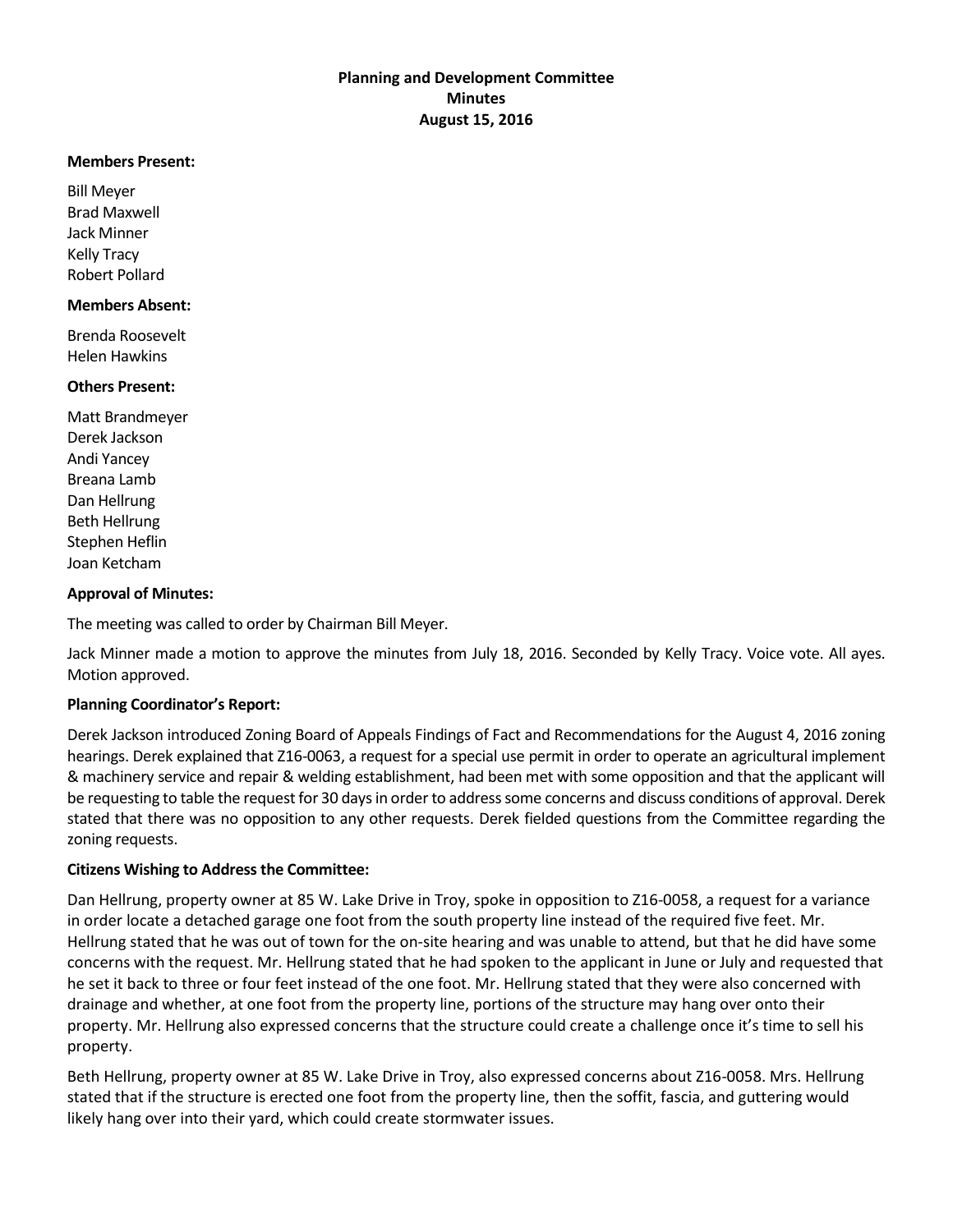### **Members Present:**

Bill Meyer Brad Maxwell Jack Minner Kelly Tracy Robert Pollard

### **Members Absent:**

Brenda Roosevelt Helen Hawkins

### **Others Present:**

Matt Brandmeyer Derek Jackson Andi Yancey Breana Lamb Dan Hellrung Beth Hellrung Stephen Heflin Joan Ketcham

### **Approval of Minutes:**

The meeting was called to order by Chairman Bill Meyer.

Jack Minner made a motion to approve the minutes from July 18, 2016. Seconded by Kelly Tracy. Voice vote. All ayes. Motion approved.

# **Planning Coordinator's Report:**

Derek Jackson introduced Zoning Board of Appeals Findings of Fact and Recommendations for the August 4, 2016 zoning hearings. Derek explained that Z16-0063, a request for a special use permit in order to operate an agricultural implement & machinery service and repair & welding establishment, had been met with some opposition and that the applicant will be requesting to table the request for 30 days in order to address some concerns and discuss conditions of approval. Derek stated that there was no opposition to any other requests. Derek fielded questions from the Committee regarding the zoning requests.

# **Citizens Wishing to Address the Committee:**

Dan Hellrung, property owner at 85 W. Lake Drive in Troy, spoke in opposition to Z16-0058, a request for a variance in order locate a detached garage one foot from the south property line instead of the required five feet. Mr. Hellrung stated that he was out of town for the on-site hearing and was unable to attend, but that he did have some concerns with the request. Mr. Hellrung stated that he had spoken to the applicant in June or July and requested that he set it back to three or four feet instead of the one foot. Mr. Hellrung stated that they were also concerned with drainage and whether, at one foot from the property line, portions of the structure may hang over onto their property. Mr. Hellrung also expressed concerns that the structure could create a challenge once it's time to sell his property.

Beth Hellrung, property owner at 85 W. Lake Drive in Troy, also expressed concerns about Z16-0058. Mrs. Hellrung stated that if the structure is erected one foot from the property line, then the soffit, fascia, and guttering would likely hang over into their yard, which could create stormwater issues.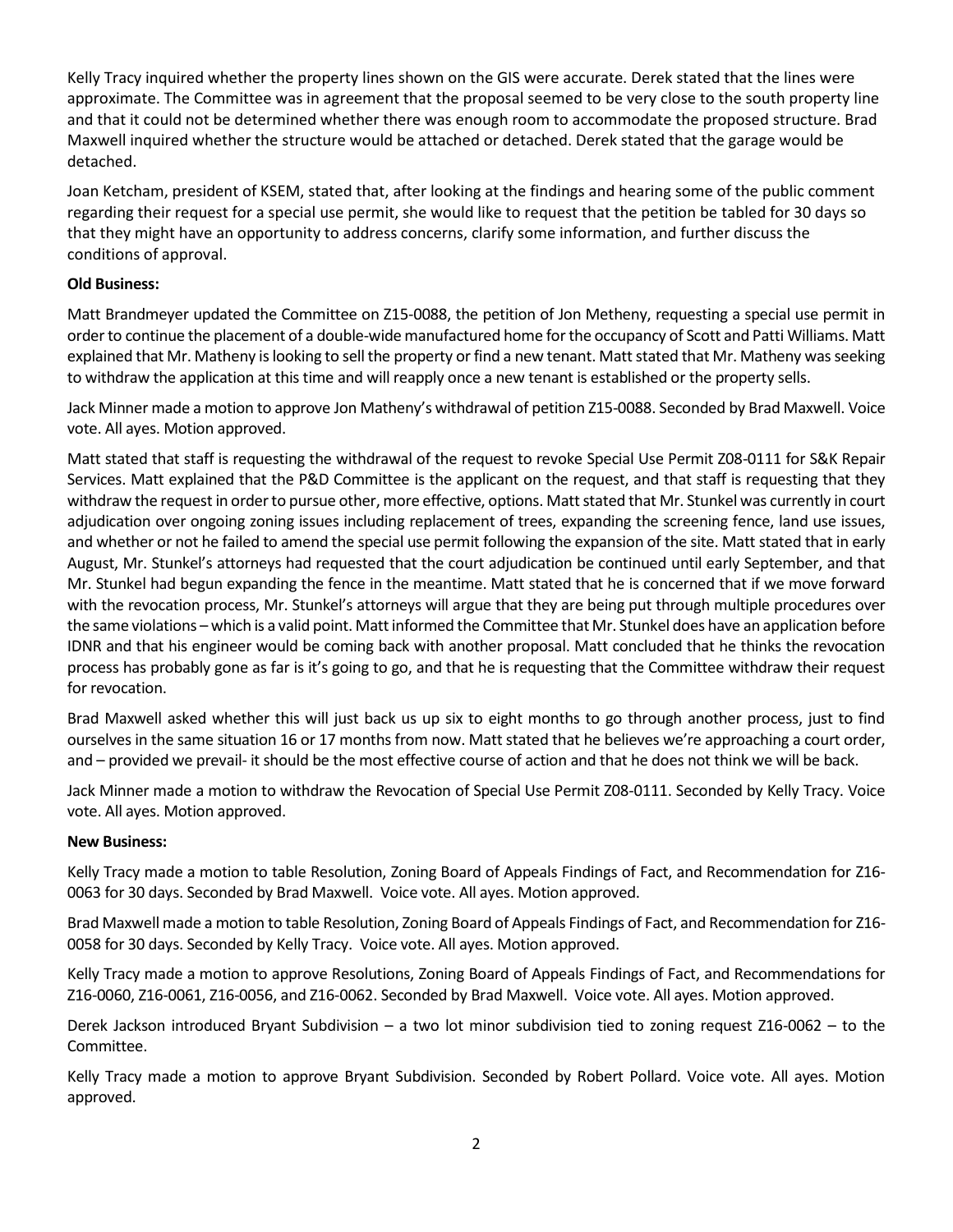Kelly Tracy inquired whether the property lines shown on the GIS were accurate. Derek stated that the lines were approximate. The Committee was in agreement that the proposal seemed to be very close to the south property line and that it could not be determined whether there was enough room to accommodate the proposed structure. Brad Maxwell inquired whether the structure would be attached or detached. Derek stated that the garage would be detached.

Joan Ketcham, president of KSEM, stated that, after looking at the findings and hearing some of the public comment regarding their request for a special use permit, she would like to request that the petition be tabled for 30 days so that they might have an opportunity to address concerns, clarify some information, and further discuss the conditions of approval.

# **Old Business:**

Matt Brandmeyer updated the Committee on Z15-0088, the petition of Jon Metheny, requesting a special use permit in order to continue the placement of a double-wide manufactured home for the occupancy of Scott and Patti Williams. Matt explained that Mr. Matheny is looking to sell the property or find a new tenant. Matt stated that Mr. Matheny was seeking to withdraw the application at this time and will reapply once a new tenant is established or the property sells.

Jack Minner made a motion to approve Jon Matheny's withdrawal of petition Z15-0088. Seconded by Brad Maxwell. Voice vote. All ayes. Motion approved.

Matt stated that staff is requesting the withdrawal of the request to revoke Special Use Permit Z08-0111 for S&K Repair Services. Matt explained that the P&D Committee is the applicant on the request, and that staff is requesting that they withdraw the request in order to pursue other, more effective, options. Matt stated that Mr. Stunkel was currently in court adjudication over ongoing zoning issues including replacement of trees, expanding the screening fence, land use issues, and whether or not he failed to amend the special use permit following the expansion of the site. Matt stated that in early August, Mr. Stunkel's attorneys had requested that the court adjudication be continued until early September, and that Mr. Stunkel had begun expanding the fence in the meantime. Matt stated that he is concerned that if we move forward with the revocation process, Mr. Stunkel's attorneys will argue that they are being put through multiple procedures over the same violations – which is a valid point. Matt informed the Committee that Mr. Stunkel does have an application before IDNR and that his engineer would be coming back with another proposal. Matt concluded that he thinks the revocation process has probably gone as far is it's going to go, and that he is requesting that the Committee withdraw their request for revocation.

Brad Maxwell asked whether this will just back us up six to eight months to go through another process, just to find ourselves in the same situation 16 or 17 months from now. Matt stated that he believes we're approaching a court order, and – provided we prevail- it should be the most effective course of action and that he does not think we will be back.

Jack Minner made a motion to withdraw the Revocation of Special Use Permit Z08-0111. Seconded by Kelly Tracy. Voice vote. All ayes. Motion approved.

# **New Business:**

Kelly Tracy made a motion to table Resolution, Zoning Board of Appeals Findings of Fact, and Recommendation for Z16- 0063 for 30 days. Seconded by Brad Maxwell. Voice vote. All ayes. Motion approved.

Brad Maxwell made a motion to table Resolution, Zoning Board of Appeals Findings of Fact, and Recommendation for Z16- 0058 for 30 days. Seconded by Kelly Tracy. Voice vote. All ayes. Motion approved.

Kelly Tracy made a motion to approve Resolutions, Zoning Board of Appeals Findings of Fact, and Recommendations for Z16-0060, Z16-0061, Z16-0056, and Z16-0062. Seconded by Brad Maxwell. Voice vote. All ayes. Motion approved.

Derek Jackson introduced Bryant Subdivision – a two lot minor subdivision tied to zoning request Z16-0062 – to the Committee.

Kelly Tracy made a motion to approve Bryant Subdivision. Seconded by Robert Pollard. Voice vote. All ayes. Motion approved.